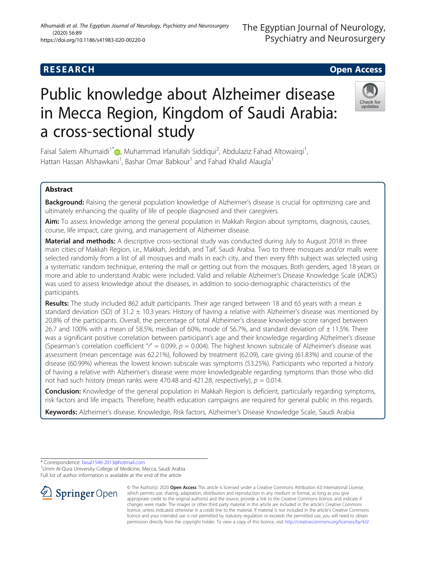# Public knowledge about Alzheimer disease in Mecca Region, Kingdom of Saudi Arabia: a cross-sectional study

Faisal Salem Alhumaidi<sup>1\*</sup> , Muhammad Irfanullah Siddiqui<sup>2</sup>, Abdulaziz Fahad Altowairqi<sup>1</sup> , Hattan Hassan Alshawkani<sup>1</sup>, Bashar Omar Babkour<sup>1</sup> and Fahad Khalid Alaugla<sup>1</sup>

# Abstract

Background: Raising the general population knowledge of Alzheimer's disease is crucial for optimizing care and ultimately enhancing the quality of life of people diagnosed and their caregivers.

Aim: To assess knowledge among the general population in Makkah Region about symptoms, diagnosis, causes, course, life impact, care giving, and management of Alzheimer disease.

Material and methods: A descriptive cross-sectional study was conducted during July to August 2018 in three main cities of Makkah Region, i.e., Makkah, Jeddah, and Taif, Saudi Arabia. Two to three mosques and/or malls were selected randomly from a list of all mosques and malls in each city, and then every fifth subject was selected using a systematic random technique, entering the mall or getting out from the mosques. Both genders, aged 18 years or more and able to understand Arabic were included. Valid and reliable Alzheimer's Disease Knowledge Scale (ADKS) was used to assess knowledge about the diseases, in addition to socio-demographic characteristics of the participants.

**Results:** The study included 862 adult participants. Their age ranged between 18 and 65 years with a mean  $\pm$ standard deviation (SD) of 31.2  $\pm$  10.3 years. History of having a relative with Alzheimer's disease was mentioned by 20.8% of the participants. Overall, the percentage of total Alzheimer's disease knowledge score ranged between 26.7 and 100% with a mean of 58.5%, median of 60%, mode of 56.7%, and standard deviation of  $\pm$  11.5%. There was a significant positive correlation between participant's age and their knowledge regarding Alzheimer's disease (Spearman's correlation coefficient " $r'' = 0.099$ ,  $p = 0.004$ ). The highest known subscale of Alzheimer's disease was assessment (mean percentage was 62.21%), followed by treatment (62.09), care giving (61.83%) and course of the disease (60.99%) whereas the lowest known subscale was symptoms (53.25%). Participants who reported a history of having a relative with Alzheimer's disease were more knowledgeable regarding symptoms than those who did not had such history (mean ranks were 470.48 and 421.28, respectively),  $p = 0.014$ .

**Conclusion:** Knowledge of the general population in Makkah Region is deficient, particularly regarding symptoms, risk factors and life impacts. Therefore, health education campaigns are required for general public in this regards.

Keywords: Alzheimer's disease, Knowledge, Risk factors, Alzheimer's Disease Knowledge Scale, Saudi Arabia

© The Author(s). 2020 Open Access This article is licensed under a Creative Commons Attribution 4.0 International License, which permits use, sharing, adaptation, distribution and reproduction in any medium or format, as long as you give appropriate credit to the original author(s) and the source, provide a link to the Creative Commons licence, and indicate if changes were made. The images or other third party material in this article are included in the article's Creative Commons licence, unless indicated otherwise in a credit line to the material. If material is not included in the article's Creative Commons licence and your intended use is not permitted by statutory regulation or exceeds the permitted use, you will need to obtain permission directly from the copyright holder. To view a copy of this licence, visit <http://creativecommons.org/licenses/by/4.0/>.

\* Correspondence: [faisal1546-2013@hotmail.com](mailto:faisal1546-2013@hotmail.com) <sup>1</sup>

SpringerOpen

<sup>1</sup> Umm Al-Qura University College of Medicine, Mecca, Saudi Arabia

Full list of author information is available at the end of the article





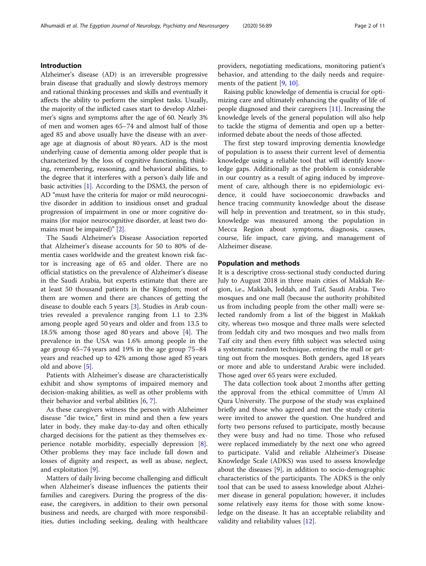# Introduction

Alzheimer's disease (AD) is an irreversible progressive brain disease that gradually and slowly destroys memory and rational thinking processes and skills and eventually it affects the ability to perform the simplest tasks. Usually, the majority of the inflicted cases start to develop Alzheimer's signs and symptoms after the age of 60. Nearly 3% of men and women ages 65–74 and almost half of those aged 85 and above usually have the disease with an average age at diagnosis of about 80 years. AD is the most underlying cause of dementia among older people that is characterized by the loss of cognitive functioning, thinking, remembering, reasoning, and behavioral abilities, to the degree that it interferes with a person's daily life and basic activities [[1](#page-9-0)]. According to the DSM3, the person of AD "must have the criteria for major or mild neurocognitive disorder in addition to insidious onset and gradual progression of impairment in one or more cognitive domains (for major neurocognitive disorder, at least two domains must be impaired)" [[2\]](#page-9-0).

The Saudi Alzheimer's Disease Association reported that Alzheimer's disease accounts for 50 to 80% of dementia cases worldwide and the greatest known risk factor is increasing age of 65 and older. There are no official statistics on the prevalence of Alzheimer's disease in the Saudi Arabia, but experts estimate that there are at least 50 thousand patients in the Kingdom; most of them are women and there are chances of getting the disease to double each 5 years [\[3](#page-9-0)]. Studies in Arab countries revealed a prevalence ranging from 1.1 to 2.3% among people aged 50 years and older and from 13.5 to 18.5% among those aged 80 years and above [[4\]](#page-9-0). The prevalence in the USA was 1.6% among people in the age group 65–74 years and 19% in the age group 75–84 years and reached up to 42% among those aged 85 years old and above [\[5](#page-9-0)].

Patients with Alzheimer's disease are characteristically exhibit and show symptoms of impaired memory and decision-making abilities, as well as other problems with their behavior and verbal abilities  $[6, 7]$  $[6, 7]$  $[6, 7]$  $[6, 7]$  $[6, 7]$ .

As these caregivers witness the person with Alzheimer disease "die twice," first in mind and then a few years later in body, they make day-to-day and often ethically charged decisions for the patient as they themselves experience notable morbidity, especially depression [\[8](#page-10-0)]. Other problems they may face include fall down and losses of dignity and respect, as well as abuse, neglect, and exploitation [\[9](#page-10-0)].

Matters of daily living become challenging and difficult when Alzheimer's disease influences the patients their families and caregivers. During the progress of the disease, the caregivers, in addition to their own personal business and needs, are charged with more responsibilities, duties including seeking, dealing with healthcare providers, negotiating medications, monitoring patient's behavior, and attending to the daily needs and requirements of the patient [[9,](#page-10-0) [10\]](#page-10-0).

Raising public knowledge of dementia is crucial for optimizing care and ultimately enhancing the quality of life of people diagnosed and their caregivers [\[11](#page-10-0)]. Increasing the knowledge levels of the general population will also help to tackle the stigma of dementia and open up a betterinformed debate about the needs of those affected.

The first step toward improving dementia knowledge of population is to assess their current level of dementia knowledge using a reliable tool that will identify knowledge gaps. Additionally as the problem is considerable in our country as a result of aging induced by improvement of care, although there is no epidemiologic evidence, it could have socioeconomic drawbacks and hence tracing community knowledge about the disease will help in prevention and treatment, so in this study, knowledge was measured among the population in Mecca Region about symptoms, diagnosis, causes, course, life impact, care giving, and management of Alzheimer disease.

#### Population and methods

It is a descriptive cross-sectional study conducted during July to August 2018 in three main cities of Makkah Region, i.e., Makkah, Jeddah, and Taif, Saudi Arabia. Two mosques and one mall (because the authority prohibited us from including people from the other mall) were selected randomly from a list of the biggest in Makkah city, whereas two mosque and three malls were selected from Jeddah city and two mosques and two malls from Taif city and then every fifth subject was selected using a systematic random technique, entering the mall or getting out from the mosques. Both genders, aged 18 years or more and able to understand Arabic were included. Those aged over 65 years were excluded.

The data collection took about 2 months after getting the approval from the ethical committee of Umm Al Qura University. The purpose of the study was explained briefly and those who agreed and met the study criteria were invited to answer the question. One hundred and forty two persons refused to participate, mostly because they were busy and had no time. Those who refused were replaced immediately by the next one who agreed to participate. Valid and reliable Alzheimer's Disease Knowledge Scale (ADKS) was used to assess knowledge about the diseases [[9\]](#page-10-0), in addition to socio-demographic characteristics of the participants. The ADKS is the only tool that can be used to assess knowledge about Alzheimer disease in general population; however, it includes some relatively easy items for those with some knowledge on the disease. It has an acceptable reliability and validity and reliability values [[12\]](#page-10-0).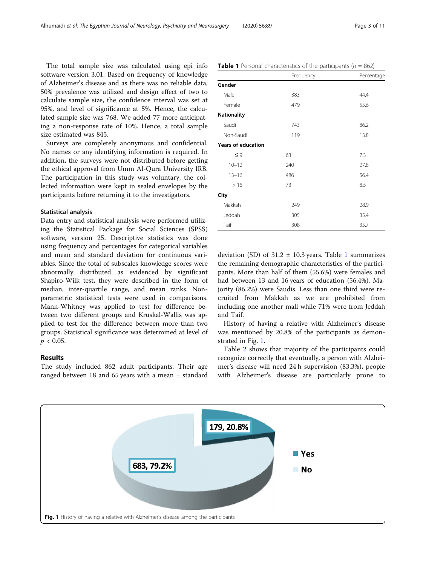The total sample size was calculated using epi info software version 3.01. Based on frequency of knowledge of Alzheimer's disease and as there was no reliable data, 50% prevalence was utilized and design effect of two to calculate sample size, the confidence interval was set at 95%, and level of significance at 5%. Hence, the calculated sample size was 768. We added 77 more anticipating a non-response rate of 10%. Hence, a total sample size estimated was 845.

Surveys are completely anonymous and confidential. No names or any identifying information is required. In addition, the surveys were not distributed before getting the ethical approval from Umm Al-Qura University IRB. The participation in this study was voluntary, the collected information were kept in sealed envelopes by the participants before returning it to the investigators.

#### Statistical analysis

Data entry and statistical analysis were performed utilizing the Statistical Package for Social Sciences (SPSS) software, version 25. Descriptive statistics was done using frequency and percentages for categorical variables and mean and standard deviation for continuous variables. Since the total of subscales knowledge scores were abnormally distributed as evidenced by significant Shapiro-Wilk test, they were described in the form of median, inter-quartile range, and mean ranks. Nonparametric statistical tests were used in comparisons. Mann-Whitney was applied to test for difference between two different groups and Kruskal-Wallis was applied to test for the difference between more than two groups. Statistical significance was determined at level of  $p < 0.05$ .

#### Results

The study included 862 adult participants. Their age ranged between 18 and 65 years with a mean ± standard

|                           | Frequency | Percentage |
|---------------------------|-----------|------------|
| Gender                    |           |            |
| Male                      | 383       | 44.4       |
| Female                    | 479       | 55.6       |
| <b>Nationality</b>        |           |            |
| Saudi                     | 743       | 86.2       |
| Non-Saudi                 | 119       | 13.8       |
| <b>Years of education</b> |           |            |
| $\leq 9$                  | 63        | 7.3        |
| $10 - 12$                 | 240       | 27.8       |
| $13 - 16$                 | 486       | 56.4       |
| >16                       | 73        | 8.5        |
| City                      |           |            |
| Makkah                    | 249       | 28.9       |
| Jeddah                    | 305       | 35.4       |

deviation (SD) of  $31.2 \pm 10.3$  years. Table 1 summarizes the remaining demographic characteristics of the participants. More than half of them (55.6%) were females and had between 13 and 16 years of education (56.4%). Majority (86.2%) were Saudis. Less than one third were recruited from Makkah as we are prohibited from including one another mall while 71% were from Jeddah and Taif.

Taif 308 35.7

History of having a relative with Alzheimer's disease was mentioned by 20.8% of the participants as demonstrated in Fig. 1.

Table [2](#page-3-0) shows that majority of the participants could recognize correctly that eventually, a person with Alzheimer's disease will need 24 h supervision (83.3%), people with Alzheimer's disease are particularly prone to



#### **Table 1** Personal characteristics of the participants ( $n = 862$ )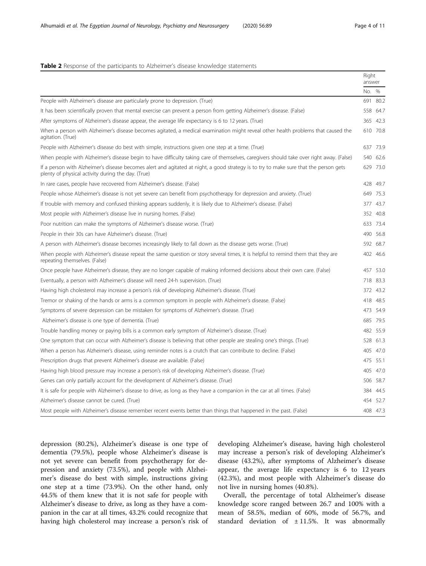### <span id="page-3-0"></span>Table 2 Response of the participants to Alzheimer's disease knowledge statements

|                                                                                                                                                                                             | Right<br>answer |          |
|---------------------------------------------------------------------------------------------------------------------------------------------------------------------------------------------|-----------------|----------|
|                                                                                                                                                                                             | No. %           |          |
| People with Alzheimer's disease are particularly prone to depression. (True)                                                                                                                |                 | 691 80.2 |
| It has been scientifically proven that mental exercise can prevent a person from getting Alzheimer's disease. (False)                                                                       |                 | 558 64.7 |
| After symptoms of Alzheimer's disease appear, the average life expectancy is 6 to 12 years. (True)                                                                                          |                 | 365 42.3 |
| When a person with Alzheimer's disease becomes agitated, a medical examination might reveal other health problems that caused the<br>agitation. (True)                                      |                 | 610 70.8 |
| People with Alzheimer's disease do best with simple, instructions given one step at a time. (True)                                                                                          |                 | 637 73.9 |
| When people with Alzheimer's disease begin to have difficulty taking care of themselves, caregivers should take over right away. (False)                                                    |                 | 540 62.6 |
| If a person with Alzheimer's disease becomes alert and agitated at night, a good strategy is to try to make sure that the person gets<br>plenty of physical activity during the day. (True) |                 | 629 73.0 |
| In rare cases, people have recovered from Alzheimer's disease. (False)                                                                                                                      |                 | 428 49.7 |
| People whose Alzheimer's disease is not yet severe can benefit from psychotherapy for depression and anxiety. (True)                                                                        |                 | 649 75.3 |
| If trouble with memory and confused thinking appears suddenly, it is likely due to Alzheimer's disease. (False)                                                                             |                 | 377 43.7 |
| Most people with Alzheimer's disease live in nursing homes. (False)                                                                                                                         |                 | 352 40.8 |
| Poor nutrition can make the symptoms of Alzheimer's disease worse. (True)                                                                                                                   |                 | 633 73.4 |
| People in their 30s can have Alzheimer's disease. (True)                                                                                                                                    |                 | 490 56.8 |
| A person with Alzheimer's disease becomes increasingly likely to fall down as the disease gets worse. (True)                                                                                |                 | 592 68.7 |
| When people with Alzheimer's disease repeat the same question or story several times, it is helpful to remind them that they are<br>repeating themselves. (False)                           |                 | 402 46.6 |
| Once people have Alzheimer's disease, they are no longer capable of making informed decisions about their own care. (False)                                                                 |                 | 457 53.0 |
| Eventually, a person with Alzheimer's disease will need 24-h supervision. (True)                                                                                                            |                 | 718 83.3 |
| Having high cholesterol may increase a person's risk of developing Alzheimer's disease. (True)                                                                                              |                 | 372 43.2 |
| Tremor or shaking of the hands or arms is a common symptom in people with Alzheimer's disease. (False)                                                                                      |                 | 418 48.5 |
| Symptoms of severe depression can be mistaken for symptoms of Alzheimer's disease. (True)                                                                                                   |                 | 473 54.9 |
| Alzheimer's disease is one type of dementia. (True)                                                                                                                                         |                 | 685 79.5 |
| Trouble handling money or paying bills is a common early symptom of Alzheimer's disease. (True)                                                                                             |                 | 482 55.9 |
| One symptom that can occur with Alzheimer's disease is believing that other people are stealing one's things. (True)                                                                        |                 | 528 61.3 |
| When a person has Alzheimer's disease, using reminder notes is a crutch that can contribute to decline. (False)                                                                             |                 | 405 47.0 |
| Prescription drugs that prevent Alzheimer's disease are available. (False)                                                                                                                  |                 | 475 55.1 |
| Having high blood pressure may increase a person's risk of developing Alzheimer's disease. (True)                                                                                           |                 | 405 47.0 |
| Genes can only partially account for the development of Alzheimer's disease. (True)                                                                                                         |                 | 506 58.7 |
| It is safe for people with Alzheimer's disease to drive, as long as they have a companion in the car at all times. (False)                                                                  |                 | 384 44.5 |
| Alzheimer's disease cannot be cured. (True)                                                                                                                                                 |                 | 454 52.7 |
| Most people with Alzheimer's disease remember recent events better than things that happened in the past. (False)                                                                           |                 | 408 47.3 |

depression (80.2%), Alzheimer's disease is one type of dementia (79.5%), people whose Alzheimer's disease is not yet severe can benefit from psychotherapy for depression and anxiety (73.5%), and people with Alzheimer's disease do best with simple, instructions giving one step at a time (73.9%). On the other hand, only 44.5% of them knew that it is not safe for people with Alzheimer's disease to drive, as long as they have a companion in the car at all times, 43.2% could recognize that having high cholesterol may increase a person's risk of

developing Alzheimer's disease, having high cholesterol may increase a person's risk of developing Alzheimer's disease (43.2%), after symptoms of Alzheimer's disease appear, the average life expectancy is 6 to 12 years (42.3%), and most people with Alzheimer's disease do not live in nursing homes (40.8%).

Overall, the percentage of total Alzheimer's disease knowledge score ranged between 26.7 and 100% with a mean of 58.5%, median of 60%, mode of 56.7%, and standard deviation of  $\pm$  11.5%. It was abnormally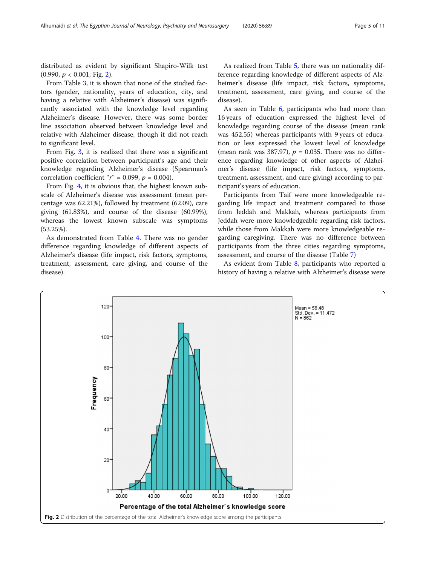distributed as evident by significant Shapiro-Wilk test  $(0.990, p < 0.001;$  Fig. 2).

From Table [3,](#page-5-0) it is shown that none of the studied factors (gender, nationality, years of education, city, and having a relative with Alzheimer's disease) was significantly associated with the knowledge level regarding Alzheimer's disease. However, there was some border line association observed between knowledge level and relative with Alzheimer disease, though it did not reach to significant level.

From Fig. [3](#page-6-0), it is realized that there was a significant positive correlation between participant's age and their knowledge regarding Alzheimer's disease (Spearman's correlation coefficient " $r$ " = 0.099,  $p$  = 0.004).

From Fig. [4,](#page-6-0) it is obvious that, the highest known subscale of Alzheimer's disease was assessment (mean percentage was 62.21%), followed by treatment (62.09), care giving (61.83%), and course of the disease (60.99%), whereas the lowest known subscale was symptoms (53.25%).

As demonstrated from Table [4](#page-7-0). There was no gender difference regarding knowledge of different aspects of Alzheimer's disease (life impact, risk factors, symptoms, treatment, assessment, care giving, and course of the disease).

As realized from Table [5,](#page-7-0) there was no nationality difference regarding knowledge of different aspects of Alzheimer's disease (life impact, risk factors, symptoms, treatment, assessment, care giving, and course of the disease).

As seen in Table [6,](#page-8-0) participants who had more than 16 years of education expressed the highest level of knowledge regarding course of the disease (mean rank was 452.55) whereas participants with 9 years of education or less expressed the lowest level of knowledge (mean rank was 387.97),  $p = 0.035$ . There was no difference regarding knowledge of other aspects of Alzheimer's disease (life impact, risk factors, symptoms, treatment, assessment, and care giving) according to participant's years of education.

Participants from Taif were more knowledgeable regarding life impact and treatment compared to those from Jeddah and Makkah, whereas participants from Jeddah were more knowledgeable regarding risk factors, while those from Makkah were more knowledgeable regarding caregiving. There was no difference between participants from the three cities regarding symptoms, assessment, and course of the disease (Table [7\)](#page-8-0)

As evident from Table [8](#page-9-0), participants who reported a history of having a relative with Alzheimer's disease were

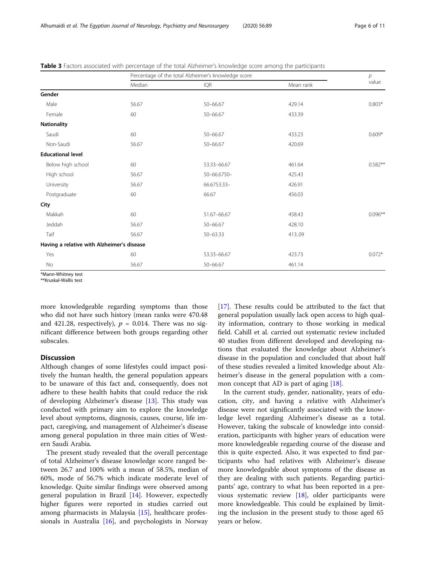|                                            | Percentage of the total Alzheimer's knowledge score |              |           | р         |
|--------------------------------------------|-----------------------------------------------------|--------------|-----------|-----------|
|                                            | Median                                              | IQR          | Mean rank | value     |
| Gender                                     |                                                     |              |           |           |
| Male                                       | 56.67                                               | 50-66.67     | 429.14    | $0.803*$  |
| Female                                     | 60                                                  | 50-66.67     | 433.39    |           |
| <b>Nationality</b>                         |                                                     |              |           |           |
| Saudi                                      | 60                                                  | $50 - 66.67$ | 433.23    | $0.609*$  |
| Non-Saudi                                  | 56.67                                               | 50-66.67     | 420.69    |           |
| <b>Educational level</b>                   |                                                     |              |           |           |
| Below high school                          | 60                                                  | 53.33-66.67  | 461.64    | $0.582**$ |
| High school                                | 56.67                                               | 50-66.6750-  | 425.43    |           |
| University                                 | 56.67                                               | 66.6753.33-  | 426.91    |           |
| Postgraduate                               | 60                                                  | 66.67        | 456.03    |           |
| City                                       |                                                     |              |           |           |
| Makkah                                     | 60                                                  | 51.67-66.67  | 458.43    | $0.096**$ |
| Jeddah                                     | 56.67                                               | 50-66.67     | 428.10    |           |
| Taif                                       | 56.67                                               | $50 - 63.33$ | 413.09    |           |
| Having a relative with Alzheimer's disease |                                                     |              |           |           |
| Yes                                        | 60                                                  | 53.33-66.67  | 423.73    | $0.072*$  |
| No                                         | 56.67                                               | 50-66.67     | 461.14    |           |

<span id="page-5-0"></span>Table 3 Factors associated with percentage of the total Alzheimer's knowledge score among the participants

\*Mann-Whitney test

\*\*Kruskal-Wallis test

more knowledgeable regarding symptoms than those who did not have such history (mean ranks were 470.48 and 421.28, respectively),  $p = 0.014$ . There was no significant difference between both groups regarding other subscales.

# **Discussion**

Although changes of some lifestyles could impact positively the human health, the general population appears to be unaware of this fact and, consequently, does not adhere to these health habits that could reduce the risk of developing Alzheimer's disease [[13\]](#page-10-0). This study was conducted with primary aim to explore the knowledge level about symptoms, diagnosis, causes, course, life impact, caregiving, and management of Alzheimer's disease among general population in three main cities of Western Saudi Arabia.

The present study revealed that the overall percentage of total Alzheimer's disease knowledge score ranged between 26.7 and 100% with a mean of 58.5%, median of 60%, mode of 56.7% which indicate moderate level of knowledge. Quite similar findings were observed among general population in Brazil [\[14\]](#page-10-0). However, expectedly higher figures were reported in studies carried out among pharmacists in Malaysia [[15](#page-10-0)], healthcare professionals in Australia [[16\]](#page-10-0), and psychologists in Norway [[17\]](#page-10-0). These results could be attributed to the fact that general population usually lack open access to high quality information, contrary to those working in medical field. Cahill et al. carried out systematic review included 40 studies from different developed and developing nations that evaluated the knowledge about Alzheimer's disease in the population and concluded that about half of these studies revealed a limited knowledge about Alzheimer's disease in the general population with a common concept that AD is part of aging [[18\]](#page-10-0).

In the current study, gender, nationality, years of education, city, and having a relative with Alzheimer's disease were not significantly associated with the knowledge level regarding Alzheimer's disease as a total. However, taking the subscale of knowledge into consideration, participants with higher years of education were more knowledgeable regarding course of the disease and this is quite expected. Also, it was expected to find participants who had relatives with Alzheimer's disease more knowledgeable about symptoms of the disease as they are dealing with such patients. Regarding participants' age, contrary to what has been reported in a previous systematic review [\[18](#page-10-0)], older participants were more knowledgeable. This could be explained by limiting the inclusion in the present study to those aged 65 years or below.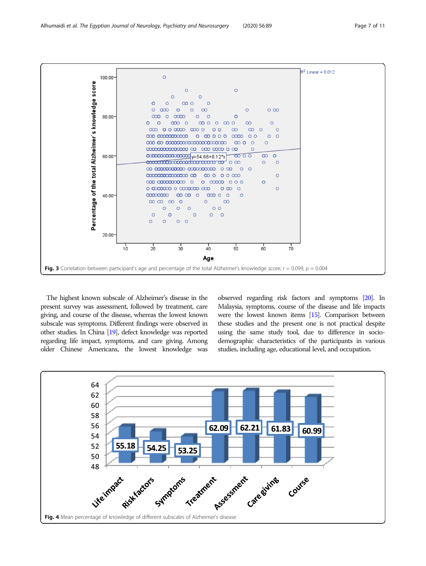

<span id="page-6-0"></span>

The highest known subscale of Alzheimer's disease in the present survey was assessment, followed by treatment, care giving, and course of the disease, whereas the lowest known subscale was symptoms. Different findings were observed in other studies. In China [\[19\]](#page-10-0), defect knowledge was reported regarding life impact, symptoms, and care giving. Among older Chinese Americans, the lowest knowledge was

observed regarding risk factors and symptoms [[20\]](#page-10-0). In Malaysia, symptoms, course of the disease and life impacts were the lowest known items [\[15](#page-10-0)]. Comparison between these studies and the present one is not practical despite using the same study tool, due to difference in sociodemographic characteristics of the participants in various studies, including age, educational level, and occupation.

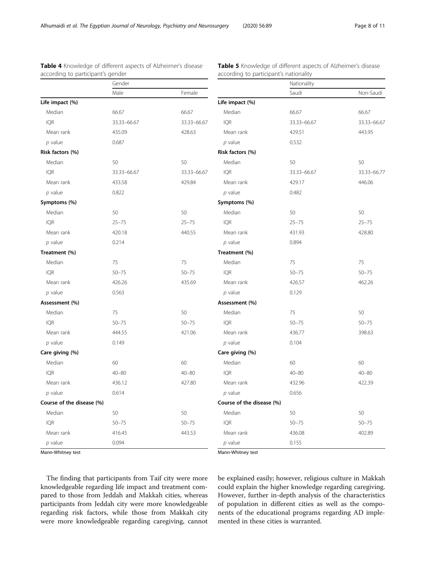|                           | Gender      |             |                           | Nationality |             |
|---------------------------|-------------|-------------|---------------------------|-------------|-------------|
|                           | Male        | Female      |                           | Saudi       | Non-Saudi   |
| Life impact (%)           |             |             | Life impact (%)           |             |             |
| Median                    | 66.67       | 66.67       | Median                    | 66.67       | 66.67       |
| <b>IQR</b>                | 33.33-66.67 | 33.33-66.67 | <b>IQR</b>                | 33.33-66.67 | 33.33-66.67 |
| Mean rank                 | 435.09      | 428.63      | Mean rank                 | 429.51      | 443.95      |
| $p$ value                 | 0.687       |             | $p$ value                 | 0.532       |             |
| Risk factors (%)          |             |             | Risk factors (%)          |             |             |
| Median                    | 50          | 50          | Median                    | 50          | 50          |
| <b>IQR</b>                | 33.33-66.67 | 33.33-66.67 | <b>IOR</b>                | 33.33-66.67 | 33.33-66.77 |
| Mean rank                 | 433.58      | 429.84      | Mean rank                 | 429.17      | 446.06      |
| $p$ value                 | 0.822       |             | $p$ value                 | 0.482       |             |
| Symptoms (%)              |             |             | Symptoms (%)              |             |             |
| Median                    | 50          | 50          | Median                    | 50          | 50          |
| <b>IQR</b>                | $25 - 75$   | $25 - 75$   | <b>IQR</b>                | $25 - 75$   | $25 - 75$   |
| Mean rank                 | 420.18      | 440.55      | Mean rank                 | 431.93      | 428.80      |
| $p$ value                 | 0.214       |             | $p$ value                 | 0.894       |             |
| Treatment (%)             |             |             | Treatment (%)             |             |             |
| Median                    | 75          | 75          | Median                    | 75          | 75          |
| <b>IQR</b>                | $50 - 75$   | $50 - 75$   | <b>IOR</b>                | $50 - 75$   | $50 - 75$   |
| Mean rank                 | 426.26      | 435.69      | Mean rank                 | 426.57      | 462.26      |
| $p$ value                 | 0.563       |             | $p$ value                 | 0.129       |             |
| Assessment (%)            |             |             | Assessment (%)            |             |             |
| Median                    | 75          | 50          | Median                    | 75          | 50          |
| <b>IQR</b>                | $50 - 75$   | $50 - 75$   | <b>IQR</b>                | $50 - 75$   | $50 - 75$   |
| Mean rank                 | 444.55      | 421.06      | Mean rank                 | 436.77      | 398.63      |
| $p$ value                 | 0.149       |             | $p$ value                 | 0.104       |             |
| Care giving (%)           |             |             | Care giving (%)           |             |             |
| Median                    | 60          | 60          | Median                    | 60          | 60          |
| <b>IQR</b>                | $40 - 80$   | $40 - 80$   | <b>IQR</b>                | $40 - 80$   | $40 - 80$   |
| Mean rank                 | 436.12      | 427.80      | Mean rank                 | 432.96      | 422.39      |
| $p$ value                 | 0.614       |             | $p$ value                 | 0.656       |             |
| Course of the disease (%) |             |             | Course of the disease (%) |             |             |
| Median                    | 50          | 50          | Median                    | 50          | 50          |
| <b>IQR</b>                | $50 - 75$   | $50 - 75$   | <b>IQR</b>                | $50 - 75$   | $50 - 75$   |
| Mean rank                 | 416.45      | 443.53      | Mean rank                 | 436.08      | 402.89      |
| $p$ value                 | 0.094       |             | $p$ value                 | 0.155       |             |

# <span id="page-7-0"></span>Table 4 Knowledge of different aspects of Alzheimer's disease according to participant's gender

Table 5 Knowledge of different aspects of Alzheimer's disease according to participant's nationality

Mann-Whitney test

Mann-Whitney test

The finding that participants from Taif city were more knowledgeable regarding life impact and treatment compared to those from Jeddah and Makkah cities, whereas participants from Jeddah city were more knowledgeable regarding risk factors, while those from Makkah city were more knowledgeable regarding caregiving, cannot be explained easily; however, religious culture in Makkah could explain the higher knowledge regarding caregiving. However, further in-depth analysis of the characteristics of population in different cities as well as the components of the educational programs regarding AD implemented in these cities is warranted.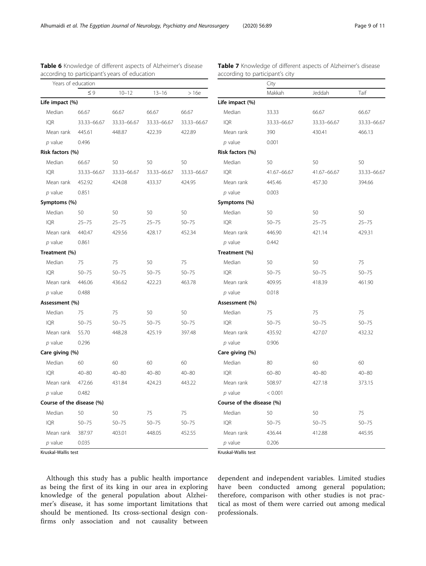IQR 33.33–66.67 33.33–66.67 33.33–66.67

IQR 41.67–66.67 41.67–66.67 33.33–66.67

Table 7 Knowledge of different aspects of Alzheimer's disease

according to participant's city

| Years of education        |             |             | City        |             |                           |             |             |           |
|---------------------------|-------------|-------------|-------------|-------------|---------------------------|-------------|-------------|-----------|
|                           | $\leq 9$    | $10 - 12$   | $13 - 16$   | >16e        |                           | Makkah      | Jeddah      | Taif      |
| Life impact (%)           |             |             |             |             | Life impact (%)           |             |             |           |
| Median                    | 66.67       | 66.67       | 66.67       | 66.67       | Median                    | 33.33       | 66.67       | 66.67     |
| <b>IQR</b>                | 33.33-66.67 | 33.33-66.67 | 33.33-66.67 | 33.33-66.67 | <b>IQR</b>                | 33.33-66.67 | 33.33-66.67 | $33.33 -$ |
| Mean rank                 | 445.61      | 448.87      | 422.39      | 422.89      | Mean rank                 | 390         | 430.41      | 466.13    |
| $p$ value                 | 0.496       |             |             |             | $p$ value                 | 0.001       |             |           |
| Risk factors (%)          |             |             |             |             | Risk factors (%)          |             |             |           |
| Median                    | 66.67       | 50          | 50          | 50          | Median                    | 50          | 50          | 50        |
| <b>IQR</b>                | 33.33-66.67 | 33.33-66.67 | 33.33-66.67 | 33.33-66.67 | <b>IQR</b>                | 41.67-66.67 | 41.67-66.67 | $33.33 -$ |
| Mean rank                 | 452.92      | 424.08      | 433.37      | 424.95      | Mean rank                 | 445.46      | 457.30      | 394.66    |
| $p$ value                 | 0.851       |             |             |             | $p$ value                 | 0.003       |             |           |
| Symptoms (%)              |             |             |             |             | Symptoms (%)              |             |             |           |
| Median                    | 50          | 50          | 50          | 50          | Median                    | 50          | 50          | 50        |
| <b>IQR</b>                | $25 - 75$   | $25 - 75$   | $25 - 75$   | $50 - 75$   | <b>IOR</b>                | $50 - 75$   | $25 - 75$   | $25 - 75$ |
| Mean rank                 | 440.47      | 429.56      | 428.17      | 452.34      | Mean rank                 | 446.90      | 421.14      | 429.31    |
| $p$ value                 | 0.861       |             |             |             | $p$ value                 | 0.442       |             |           |
| Treatment (%)             |             |             |             |             | Treatment (%)             |             |             |           |
| Median                    | 75          | 75          | 50          | 75          | Median                    | 50          | 50          | 75        |
| <b>IQR</b>                | $50 - 75$   | $50 - 75$   | $50 - 75$   | $50 - 75$   | <b>IQR</b>                | $50 - 75$   | $50 - 75$   | $50 - 75$ |
| Mean rank                 | 446.06      | 436.62      | 422.23      | 463.78      | Mean rank                 | 409.95      | 418.39      | 461.90    |
| $p$ value                 | 0.488       |             |             |             | $p$ value                 | 0.018       |             |           |
| Assessment (%)            |             |             |             |             | Assessment (%)            |             |             |           |
| Median                    | 75          | 75          | 50          | 50          | Median                    | 75          | 75          | 75        |
| <b>IQR</b>                | $50 - 75$   | $50 - 75$   | $50 - 75$   | $50 - 75$   | <b>IQR</b>                | $50 - 75$   | $50 - 75$   | $50 - 75$ |
| Mean rank                 | 55.70       | 448.28      | 425.19      | 397.48      | Mean rank                 | 435.92      | 427.07      | 432.32    |
| $p$ value                 | 0.296       |             |             |             | $p$ value                 | 0.906       |             |           |
| Care giving (%)           |             |             |             |             | Care giving (%)           |             |             |           |
| Median                    | 60          | 60          | 60          | 60          | Median                    | 80          | 60          | 60        |
| <b>IQR</b>                | $40 - 80$   | $40 - 80$   | $40 - 80$   | $40 - 80$   | <b>IQR</b>                | $60 - 80$   | $40 - 80$   | $40 - 80$ |
| Mean rank                 | 472.66      | 431.84      | 424.23      | 443.22      | Mean rank                 | 508.97      | 427.18      | 373.15    |
| $p$ value                 | 0.482       |             |             |             | $p$ value                 | < 0.001     |             |           |
| Course of the disease (%) |             |             |             |             | Course of the disease (%) |             |             |           |
| Median                    | 50          | 50          | 75          | 75          | Median                    | 50          | 50          | 75        |
| <b>IQR</b>                | $50 - 75$   | $50 - 75$   | $50 - 75$   | $50 - 75$   | <b>IQR</b>                | $50 - 75$   | $50 - 75$   | $50 - 75$ |
| Mean rank                 | 387.97      | 403.01      | 448.05      | 452.55      | Mean rank                 | 436.44      | 412.88      | 445.95    |
| $p$ value                 | 0.035       |             |             |             | $p$ value                 | 0.206       |             |           |

# <span id="page-8-0"></span>Table 6 Knowledge of different aspects of Alzheimer's disease according to participant's years of education

Kruskal-Wallis test

Kruskal-Wallis test

Although this study has a public health importance as being the first of its king in our area in exploring knowledge of the general population about Alzheimer's disease, it has some important limitations that should be mentioned. Its cross-sectional design confirms only association and not causality between

dependent and independent variables. Limited studies have been conducted among general population; therefore, comparison with other studies is not practical as most of them were carried out among medical professionals.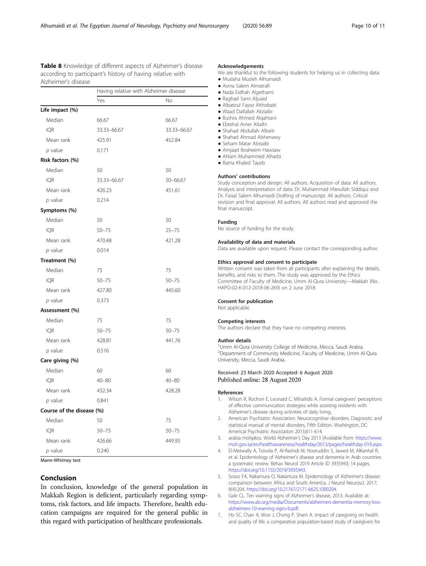<span id="page-9-0"></span>Table 8 Knowledge of different aspects of Alzheimer's disease according to participant's history of having relative with Alzheimer's disease

|                           | Having relative with Alzheimer disease |             |  |
|---------------------------|----------------------------------------|-------------|--|
|                           | Yes                                    | No          |  |
| Life impact (%)           |                                        |             |  |
| Median                    | 66.67                                  | 66.67       |  |
| <b>IQR</b>                | 33.33-66.67                            | 33.33-66.67 |  |
| Mean rank                 | 425.91                                 | 452.84      |  |
| $p$ value                 | 0.171                                  |             |  |
| Risk factors (%)          |                                        |             |  |
| Median                    | 50                                     | 50          |  |
| <b>IQR</b>                | 33.33-66.67                            | 50-66.67    |  |
| Mean rank                 | 426.23                                 | 451.61      |  |
| $p$ value                 | 0.214                                  |             |  |
| Symptoms (%)              |                                        |             |  |
| Median                    | 50                                     | 50          |  |
| <b>IOR</b>                | $50 - 75$                              | $25 - 75$   |  |
| Mean rank                 | 470.48                                 | 421.28      |  |
| $p$ value                 | 0.014                                  |             |  |
| Treatment (%)             |                                        |             |  |
| Median                    | 75                                     | 75          |  |
| <b>IQR</b>                | $50 - 75$                              | $50 - 75$   |  |
| Mean rank                 | 427.80                                 | 445.60      |  |
| $p$ value                 | 0.373                                  |             |  |
| Assessment (%)            |                                        |             |  |
| Median                    | 75                                     | 75          |  |
| <b>IQR</b>                | $50 - 75$                              | $50 - 75$   |  |
| Mean rank                 | 428.81                                 | 441.76      |  |
| $p$ value                 | 0.516                                  |             |  |
| Care giving (%)           |                                        |             |  |
| Median                    | 60                                     | 60          |  |
| <b>IQR</b>                | $40 - 80$                              | $40 - 80$   |  |
| Mean rank                 | 432.34                                 | 428.28      |  |
| $p$ value                 | 0.841                                  |             |  |
| Course of the disease (%) |                                        |             |  |
| Median                    | 50                                     | 75          |  |
| <b>IQR</b>                | $50 - 75$                              | $50 - 75$   |  |
| Mean rank                 | 426.66                                 | 449.95      |  |
| $p$ value                 | 0.240                                  |             |  |

Mann-Whitney test

# Conclusion

In conclusion, knowledge of the general population in Makkah Region is deficient, particularly regarding symptoms, risk factors, and life impacts. Therefore, health education campaigns are required for the general public in this regard with participation of healthcare professionals.

#### Acknowledgements

We are thankful to the following students for helping us in collecting data: ● Muslaha Musleh Alhumaidi

- Asma Salem Almatrafi
- Nada Eidhah Algethami
- Raghad Sami Aljuaid
- Albatoul Fayez Althobaiti
- Waad Daifallah Alotaibi
- Bushra Ahmed Alqahtani
- Ebtehal Amer Altalhi
- Shahad Abdullah Albaiti
- Shahad Ahmad Alshenawy ● Seham Matar Alotaibi
- 
- Amjaad Ibraheem Hawsaw
- Ahlam Muhammed Alharbi
- Rama Khaled Tayeb

#### Authors' contributions

Study conception and design: All authors. Acquisition of data: All authors. Analysis and interpretation of data: Dr. Muhammad Irfanullah Siddiqui and Dr. Faisal Salem Alhumaidi Drafting of manuscript: All authors. Critical revision and final approval: All authors. All authors read and approved the final manuscript.

#### Funding

No source of funding for the study.

#### Availability of data and materials

Data are available upon request. Please contact the corresponding author.

#### Ethics approval and consent to participate

Written consent was taken from all participants after explaining the details, benefits, and risks to them. The study was approved by the Ethics Committee of Faculty of Medicine, Umm Al-Qura University—Makkah (No. HAPO-02-K-012-2018-06-269) on 2 June 2018.

#### Consent for publication

Not applicable.

#### Competing interests

The authors declare that they have no competing interests.

#### Author details

<sup>1</sup>Umm Al-Qura University College of Medicine, Mecca, Saudi Arabia. <sup>2</sup> Department of Community Medicine, Faculty of Medicine, Umm Al-Qura University, Mecca, Saudi Arabia.

#### Received: 23 March 2020 Accepted: 6 August 2020 Published online: 28 August 2020

#### References

- 1. Wilson R, Rochon E, Leonard C, Mihailidis A. Formal caregivers' perceptions of effective communication strategies while assisting residents with Alzheimer's disease during activities of daily living..
- 2. American Psychiatric Association. Neurocognitive disorders. Diagnostic and statistical manual of mental disorders, Fifth Edition. Washington, DC: Americal Psychiatric Association 2013;611-614.
- 3. arabia mohpkos. World Alzheimer's Day 2013 [Available from: [https://www.](https://www.moh.gov.sa/en/healthawareness/healthday/2013/pages/healthday-019.aspx) [moh.gov.sa/en/healthawareness/healthday/2013/pages/healthday-019.aspx.](https://www.moh.gov.sa/en/healthawareness/healthday/2013/pages/healthday-019.aspx)
- 4. El-Metwally A, Toivola P, Al-Rashidi M, Nooruddin S, Jawed M, AlKanhal R, et al. Epidemiology of Alzheimer's disease and dementia in Arab countries: a systematic review. Behav Neurol 2019 Article ID 3935943; 14 pages. [https://doi.org/10.1155/2019/3935943.](https://doi.org/10.1155/2019/3935943)
- 5. Sosso FA, Nakamura O, Nakamura M. Epidemiology of Alzheimer's disease: comparison between Africa and South America. J Neurol Neurosci. 2017; 8(4):204. <https://doi.org/10.21767/2171-6625.1000204>.
- 6. Gale CL. Ten warning signs of Alzheimer's disease, 2013. Available at: [https://www.alz.org/media/Documents/alzheimers-dementia-memory-loss](https://www.alz.org/media/Documents/alzheimers-dementia-memory-loss-alzheimers-10-warning-signs-b.pdf)[alzheimers-10-warning-signs-b.pdf](https://www.alz.org/media/Documents/alzheimers-dementia-memory-loss-alzheimers-10-warning-signs-b.pdf).
- 7. Ho SC, Chan A, Woo J, Chong P, Sham A. Impact of caregiving on health and quality of life: a comparative population-based study of caregivers for